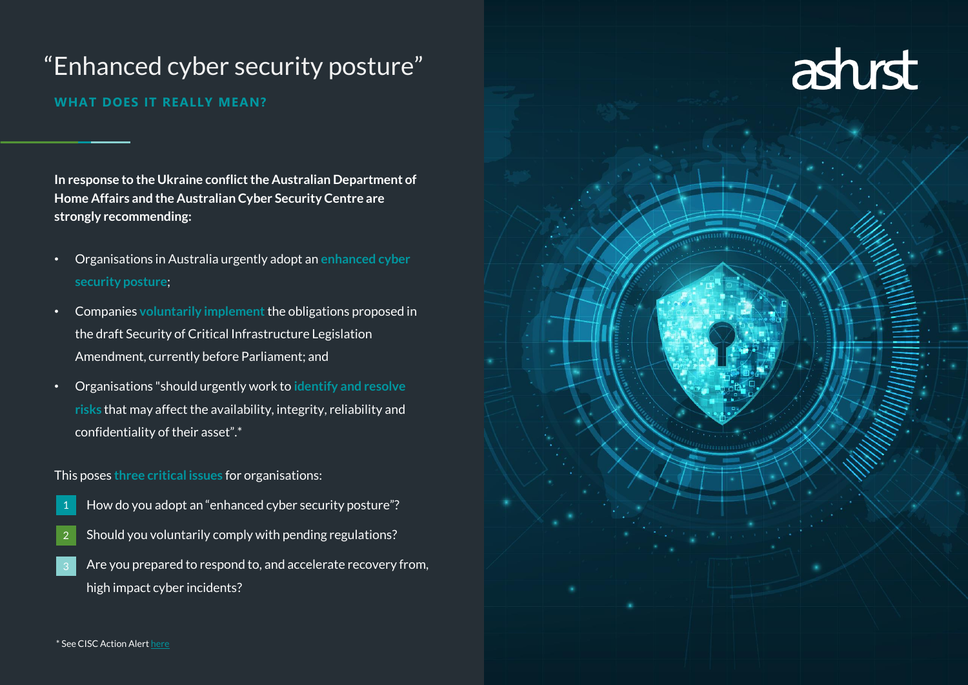# "Enhanced cyber security posture"

## **WHAT DOES IT REALLY MEAN?**

**In response to the Ukraine conflict the Australian Department of Home Affairs and the Australian Cyber Security Centre are strongly recommending:** 

- Organisations in Australia urgently adopt an **enhanced cyber security posture**;
- Companies **voluntarily implement** the obligations proposed in the draft Security of Critical Infrastructure Legislation Amendment, currently before Parliament; and
- Organisations "should urgently work to **identify and resolve risks** that may affect the availability, integrity, reliability and confidentiality of their asset".\*

## This poses **three critical issues** for organisations:

- How do you adopt an "enhanced cyber security posture"?
- Should you voluntarily comply with pending regulations? 2
- Are you prepared to respond to, and accelerate recovery from, high impact cyber incidents?

# asturst

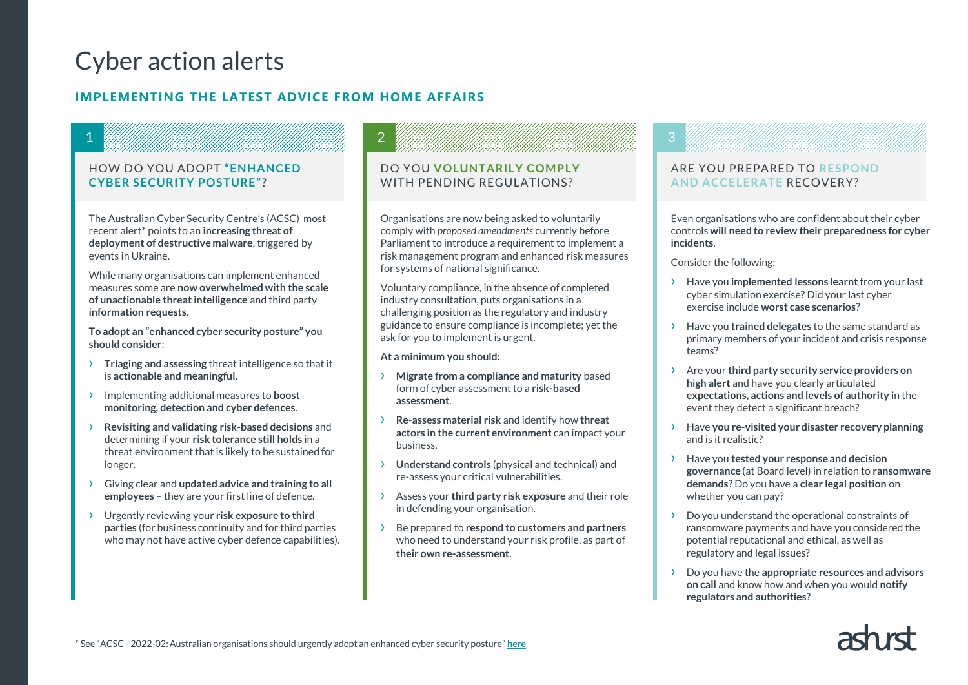# Cyber action alerts

1

## **IMPLEMENTING THE LATEST ADVICE FROM HOME AFFAIRS**

### HOW DO YOU ADOPT **"ENHANCED CYBER SECURITY POSTURE"**?

The Australian Cyber Security Centre's (ACSC) most recent alert\* points to an **increasing threat of deployment of destructive malware**, triggered by events in Ukraine.

While many organisations can implement enhanced measures some are **now overwhelmed with the scale of unactionable threat intelligence** and third party **information requests**.

**To adopt an "enhanced cyber security posture" you should consider**:

- › **Triaging and assessing** threat intelligence so that it is **actionable and meaningful**.
- › Implementing additional measures to **boost monitoring, detection and cyber defences**.
- › **Revisiting and validating risk-based decisions** and determining if your **risk tolerance still holds** in a threat environment that is likely to be sustained for longer.
- › Giving clear and **updated advice and training to all employees** – they are your first line of defence.
- › Urgently reviewing your **risk exposure to third parties** (for business continuity and for third parties who may not have active cyber defence capabilities).

## DO YOU **VOLUNTARILY COMPLY** WITH PENDING REGULATIONS?

Organisations are now being asked to voluntarily comply with *proposed amendments* currently before Parliament to introduce a requirement to implement a risk management program and enhanced risk measures for systems of national significance.

Voluntary compliance, in the absence of completed industry consultation, puts organisations in a challenging position as the regulatory and industry guidance to ensure compliance is incomplete; yet the ask for you to implement is urgent.

**At a minimum you should:**

2

- › **Migrate from a compliance and maturity** based form of cyber assessment to a **risk-based assessment**.
- › **Re-assess material risk** and identify how **threat actors in the current environment** can impact your business.
- › **Understand controls** (physical and technical) and re-assess your critical vulnerabilities.
- › Assess your **third party risk exposure** and their role in defending your organisation.
- › Be prepared to **respond to customers and partners**  who need to understand your risk profile, as part of **their own re-assessment**.

## 3

### ARE YOU PREPARED TO **RESPOND AND ACCELERATE** RECOVERY?

Even organisations who are confident about their cyber controls **will need to review their preparedness for cyber incidents**.

Consider the following:

- › Have you **implemented lessons learnt** from your last cyber simulation exercise? Did your last cyber exercise include **worst case scenarios**?
- › Have you **trained delegates** to the same standard as primary members of your incident and crisis response teams?
- › Are your **third party security service providers on high alert** and have you clearly articulated **expectations, actions and levels of authority** in the event they detect a significant breach?
- › Have **you re-visited your disaster recovery planning**  and is it realistic?
- › Have you **tested your response and decision governance** (at Board level) in relation to **ransomware demands**? Do you have a **clear legal position** on whether you can pay?
- › Do you understand the operational constraints of ransomware payments and have you considered the potential reputational and ethical, as well as regulatory and legal issues?
- › Do you have the **appropriate resources and advisors on call** and know how and when you would **notify regulators and authorities**?

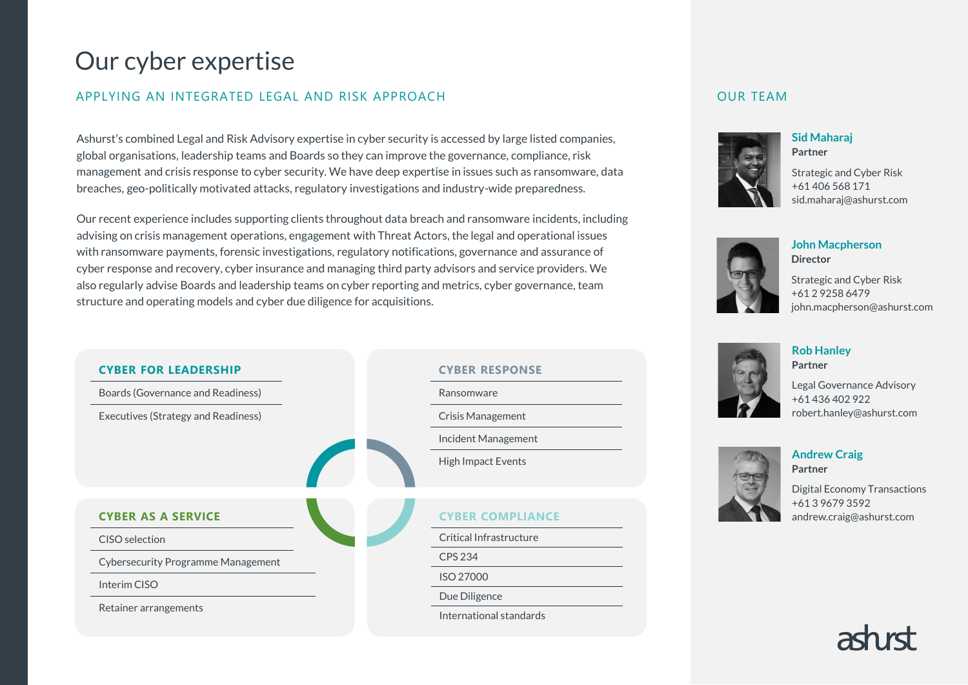## Our cyber expertise

## APPLYING AN INTEGRATED LEGAL AND RISK APPROACH

Ashurst's combined Legal and Risk Advisory expertise in cyber security is accessed by large listed companies, global organisations, leadership teams and Boards so they can improve the governance, compliance, risk management and crisis response to cyber security. We have deep expertise in issues such as ransomware, data breaches, geo-politically motivated attacks, regulatory investigations and industry-wide preparedness.

Our recent experience includes supporting clients throughout data breach and ransomware incidents, including advising on crisis management operations, engagement with Threat Actors, the legal and operational issues with ransomware payments, forensic investigations, regulatory notifications, governance and assurance of cyber response and recovery, cyber insurance and managing third party advisors and service providers. We also regularly advise Boards and leadership teams on cyber reporting and metrics, cyber governance, team structure and operating models and cyber due diligence for acquisitions.



**Rob Hanley Partner**

Legal Governance Advisory +61 436 402 922 robert.hanley@ashurst.com



Digital Economy Transactions +61 3 9679 3592

OUR TEAM

**Sid Maharaj Partner**

Strategic and Cyber Risk +61 406 568 171 sid.maharaj@ashurst.com

**John Macpherson**

## Strategic and Cyber Risk +61 2 9258 6479 john.macpherson@ashurst.com

**Director**





# **Andrew Craig Partner**

andrew.craig@ashurst.com

## **CYBER AS A SERVICE** CISO selection Cybersecurity Programme Management

Interim CISO

Retainer arrangements

**CYBER FOR LEADERSHIP**

Boards (Governance and Readiness)

Executives (Strategy and Readiness)



Ransomware

**CYBER RESPONSE**

## **CYBER COMPLIANCE**

Critical Infrastructure

CPS 234

ISO 27000

Due Diligence

International standards